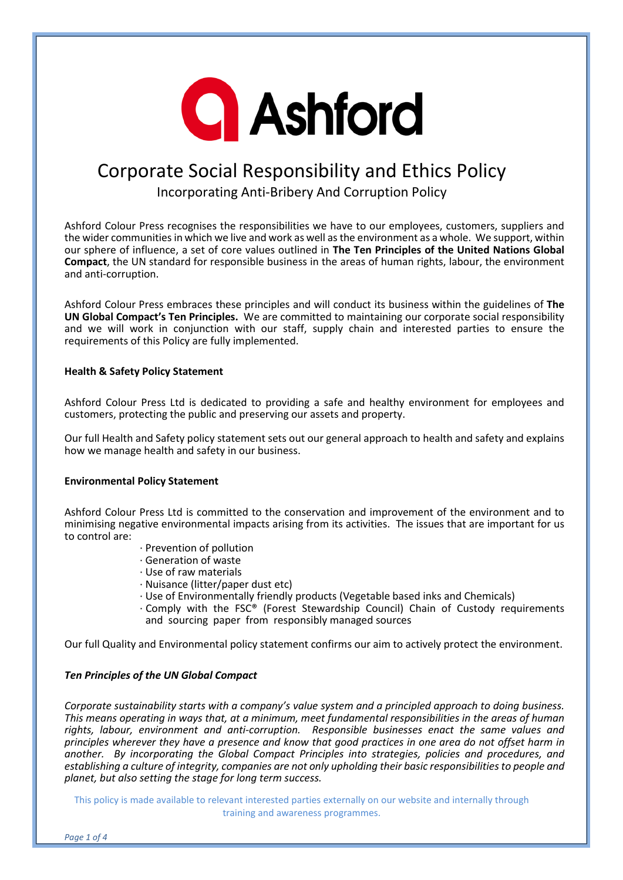

# Corporate Social Responsibility and Ethics Policy Incorporating Anti-Bribery And Corruption Policy

Ashford Colour Press recognises the responsibilities we have to our employees, customers, suppliers and the wider communities in which we live and work as well as the environment as a whole. We support, within our sphere of influence, a set of core values outlined in **The Ten Principles of the United Nations Global Compact**, the UN standard for responsible business in the areas of human rights, labour, the environment and anti-corruption.

Ashford Colour Press embraces these principles and will conduct its business within the guidelines of **The UN Global Compact's Ten Principles.** We are committed to maintaining our corporate social responsibility and we will work in conjunction with our staff, supply chain and interested parties to ensure the requirements of this Policy are fully implemented.

#### **Health & Safety Policy Statement**

Ashford Colour Press Ltd is dedicated to providing a safe and healthy environment for employees and customers, protecting the public and preserving our assets and property.

Our full Health and Safety policy statement sets out our general approach to health and safety and explains how we manage health and safety in our business.

#### **Environmental Policy Statement**

Ashford Colour Press Ltd is committed to the conservation and improvement of the environment and to minimising negative environmental impacts arising from its activities. The issues that are important for us to control are:

- · Prevention of pollution
- · Generation of waste
- · Use of raw materials
- · Nuisance (litter/paper dust etc)
- · Use of Environmentally friendly products (Vegetable based inks and Chemicals)
- · Comply with the FSC® (Forest Stewardship Council) Chain of Custody requirements and sourcing paper from responsibly managed sources

Our full Quality and Environmental policy statement confirms our aim to actively protect the environment.

## *Ten Principles of the UN Global Compact*

*Corporate sustainability starts with a company's value system and a principled approach to doing business. This means operating in ways that, at a minimum, meet fundamental responsibilities in the areas of human rights, labour, environment and anti-corruption. Responsible businesses enact the same values and principles wherever they have a presence and know that good practices in one area do not offset harm in another. By incorporating the Global Compact Principles into strategies, policies and procedures, and*  establishing a culture of integrity, companies are not only upholding their basic responsibilities to people and *planet, but also setting the stage for long term success.* 

This policy is made available to relevant interested parties externally on our website and internally through training and awareness programmes.

*Page 1 of 4*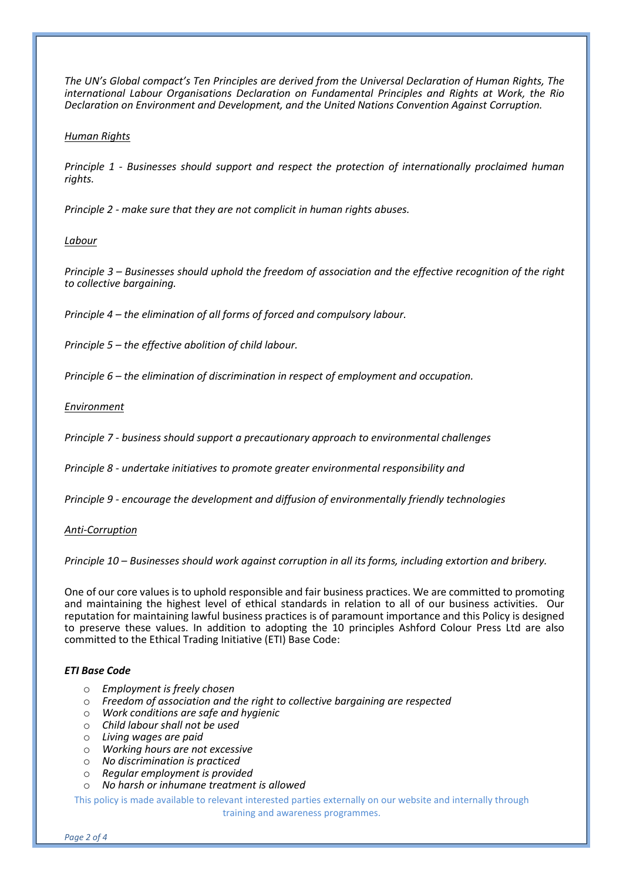*The UN's Global compact's Ten Principles are derived from the Universal Declaration of Human Rights, The international Labour Organisations Declaration on Fundamental Principles and Rights at Work, the Rio Declaration on Environment and Development, and the United Nations Convention Against Corruption.*

#### *Human Rights*

*Principle 1 - Businesses should support and respect the protection of internationally proclaimed human rights.*

*Principle 2 - make sure that they are not complicit in human rights abuses.*

#### *Labour*

*Principle 3 – Businesses should uphold the freedom of association and the effective recognition of the right to collective bargaining.*

*Principle 4 – the elimination of all forms of forced and compulsory labour.*

*Principle 5 – the effective abolition of child labour.*

*Principle 6 – the elimination of discrimination in respect of employment and occupation.*

*Environment*

*Principle 7 - business should support a precautionary approach to environmental challenges*

*Principle 8 - undertake initiatives to promote greater environmental responsibility and* 

*Principle 9 - encourage the development and diffusion of environmentally friendly technologies*

*Anti-Corruption*

*Principle 10 – Businesses should work against corruption in all its forms, including extortion and bribery.*

One of our core values is to uphold responsible and fair business practices. We are committed to promoting and maintaining the highest level of ethical standards in relation to all of our business activities. Our reputation for maintaining lawful business practices is of paramount importance and this Policy is designed to preserve these values. In addition to adopting the 10 principles Ashford Colour Press Ltd are also committed to the Ethical Trading Initiative (ETI) Base Code:

#### *ETI Base Code*

- o *Employment is freely chosen*
- o *Freedom of association and the right to collective bargaining are respected*
- o *Work conditions are safe and hygienic*
- o *Child labour shall not be used*
- o *Living wages are paid*
- o *Working hours are not excessive*
- o *No discrimination is practiced*
- o *Regular employment is provided*
- o *No harsh or inhumane treatment is allowed*

This policy is made available to relevant interested parties externally on our website and internally through training and awareness programmes.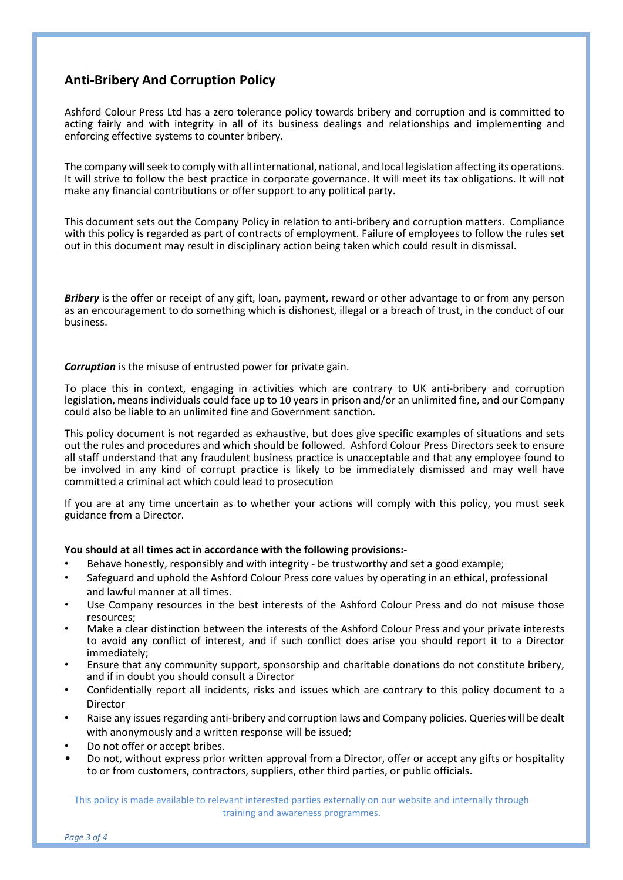# **Anti-Bribery And Corruption Policy**

Ashford Colour Press Ltd has a zero tolerance policy towards bribery and corruption and is committed to acting fairly and with integrity in all of its business dealings and relationships and implementing and enforcing effective systems to counter bribery.

The company will seek to comply with all international, national, and local legislation affecting its operations. It will strive to follow the best practice in corporate governance. It will meet its tax obligations. It will not make any financial contributions or offer support to any political party.

This document sets out the Company Policy in relation to anti-bribery and corruption matters. Compliance with this policy is regarded as part of contracts of employment. Failure of employees to follow the rules set out in this document may result in disciplinary action being taken which could result in dismissal.

*Bribery* is the offer or receipt of any gift, loan, payment, reward or other advantage to or from any person as an encouragement to do something which is dishonest, illegal or a breach of trust, in the conduct of our business.

*Corruption* is the misuse of entrusted power for private gain.

To place this in context, engaging in activities which are contrary to UK anti-bribery and corruption legislation, means individuals could face up to 10 years in prison and/or an unlimited fine, and our Company could also be liable to an unlimited fine and Government sanction.

This policy document is not regarded as exhaustive, but does give specific examples of situations and sets out the rules and procedures and which should be followed. Ashford Colour Press Directors seek to ensure all staff understand that any fraudulent business practice is unacceptable and that any employee found to be involved in any kind of corrupt practice is likely to be immediately dismissed and may well have committed a criminal act which could lead to prosecution

If you are at any time uncertain as to whether your actions will comply with this policy, you must seek guidance from a Director.

## **You should at all times act in accordance with the following provisions:-**

- Behave honestly, responsibly and with integrity be trustworthy and set a good example;
- Safeguard and uphold the Ashford Colour Press core values by operating in an ethical, professional and lawful manner at all times.
- Use Company resources in the best interests of the Ashford Colour Press and do not misuse those resources;
- Make a clear distinction between the interests of the Ashford Colour Press and your private interests to avoid any conflict of interest, and if such conflict does arise you should report it to a Director immediately;
- Ensure that any community support, sponsorship and charitable donations do not constitute bribery, and if in doubt you should consult a Director
- Confidentially report all incidents, risks and issues which are contrary to this policy document to a Director
- Raise any issues regarding anti-bribery and corruption laws and Company policies. Queries will be dealt with anonymously and a written response will be issued;
- Do not offer or accept bribes.
- Do not, without express prior written approval from a Director, offer or accept any gifts or hospitality to or from customers, contractors, suppliers, other third parties, or public officials.

This policy is made available to relevant interested parties externally on our website and internally through training and awareness programmes.